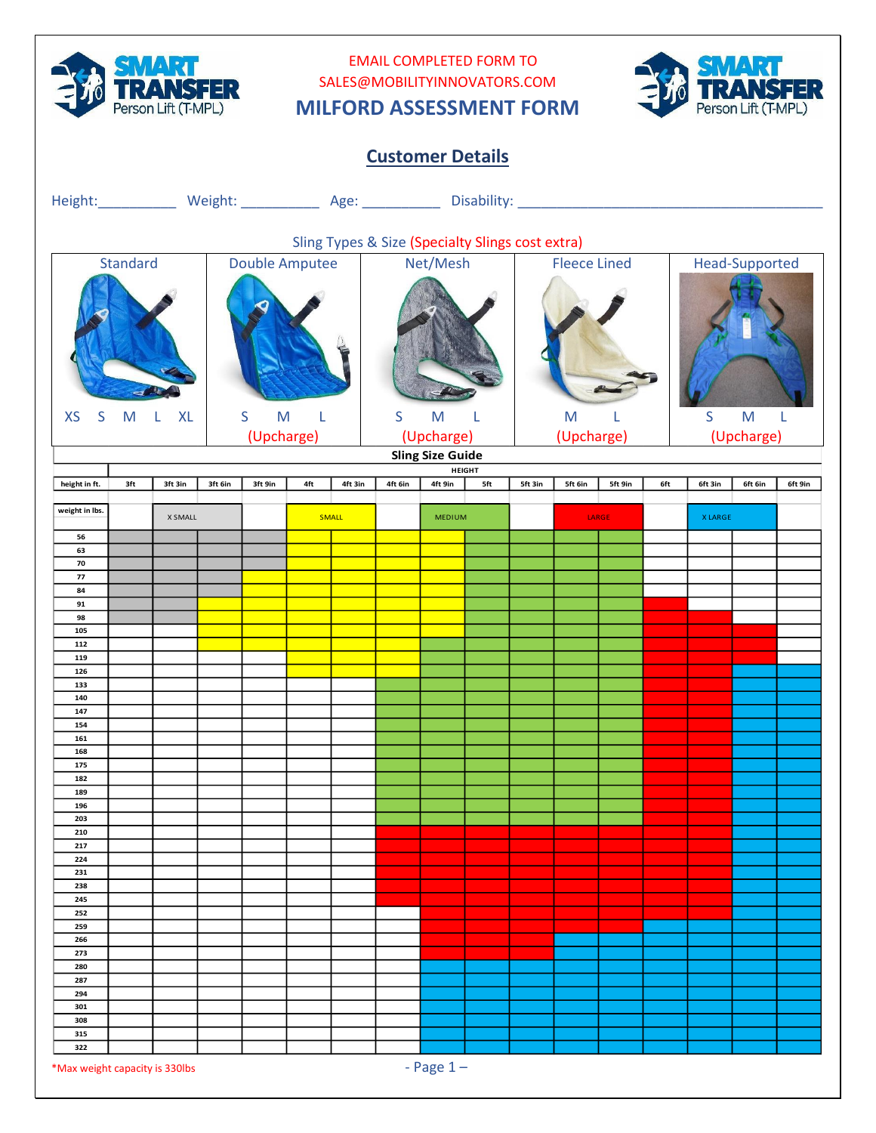

## EMAIL COMPLETED FORM TO SALES@MOBILITYINNOVATORS.COM **MILFORD ASSESSMENT FORM**



| <b>Customer Details</b>                          |                                     |         |         |                                                                                                                                          |                       |              |                           |               |     |                 |                     |         |     |                           |                |         |
|--------------------------------------------------|-------------------------------------|---------|---------|------------------------------------------------------------------------------------------------------------------------------------------|-----------------------|--------------|---------------------------|---------------|-----|-----------------|---------------------|---------|-----|---------------------------|----------------|---------|
|                                                  |                                     |         |         |                                                                                                                                          |                       |              |                           |               |     |                 |                     |         |     |                           |                |         |
| Sling Types & Size (Specialty Slings cost extra) |                                     |         |         |                                                                                                                                          |                       |              |                           |               |     |                 |                     |         |     |                           |                |         |
|                                                  | Standard                            |         |         |                                                                                                                                          | <b>Double Amputee</b> |              |                           | Net/Mesh      |     |                 | <b>Fleece Lined</b> |         |     |                           | Head-Supported |         |
|                                                  |                                     |         |         |                                                                                                                                          |                       |              |                           |               |     |                 |                     |         |     |                           |                |         |
| <b>XS</b>                                        | S<br><b>XL</b><br>M<br>$\mathsf{L}$ |         |         | $\mathsf{M}% _{T}=\mathsf{M}_{T}\!\left( a,b\right) ,\ \mathsf{M}_{T}=\mathsf{M}_{T}\!\left( a,b\right) ,$<br>$\sf S$<br>L<br>(Upcharge) |                       |              | S<br>M<br>L<br>(Upcharge) |               |     | M<br>(Upcharge) |                     |         |     | S<br>M<br>L<br>(Upcharge) |                |         |
| <b>Sling Size Guide</b><br><b>HEIGHT</b>         |                                     |         |         |                                                                                                                                          |                       |              |                           |               |     |                 |                     |         |     |                           |                |         |
| height in ft.                                    | 3ft                                 | 3ft 3in | 3ft 6in | 3ft 9in                                                                                                                                  | 4ft                   | 4ft 3in      | 4ft 6in                   | 4ft 9in       | 5ft | 5ft 3in         | 5ft 6in             | 5ft 9in | 6ft | 6ft 3in                   | 6ft 6in        | 6ft 9in |
| weight in lbs.                                   |                                     | X SMALL |         |                                                                                                                                          |                       | <b>SMALL</b> |                           | <b>MEDIUM</b> |     |                 |                     | LARGE   |     | <b>XLARGE</b>             |                |         |
| 56                                               |                                     |         |         |                                                                                                                                          |                       |              |                           |               |     |                 |                     |         |     |                           |                |         |
| 63<br>70                                         |                                     |         |         |                                                                                                                                          |                       |              |                           |               |     |                 |                     |         |     |                           |                |         |
| 77                                               |                                     |         |         |                                                                                                                                          |                       |              |                           |               |     |                 |                     |         |     |                           |                |         |
| 84<br>91                                         |                                     |         |         |                                                                                                                                          |                       |              |                           |               |     |                 |                     |         |     |                           |                |         |
| 98                                               |                                     |         |         |                                                                                                                                          |                       |              |                           |               |     |                 |                     |         |     |                           |                |         |
| 105<br>112                                       |                                     |         |         |                                                                                                                                          |                       |              |                           |               |     |                 |                     |         |     |                           |                |         |
| 119                                              |                                     |         |         |                                                                                                                                          |                       |              |                           |               |     |                 |                     |         |     |                           |                |         |
| 126<br>133                                       |                                     |         |         |                                                                                                                                          |                       |              |                           |               |     |                 |                     |         |     |                           |                |         |
| 140                                              |                                     |         |         |                                                                                                                                          |                       |              |                           |               |     |                 |                     |         |     |                           |                |         |
| 147                                              |                                     |         |         |                                                                                                                                          |                       |              |                           |               |     |                 |                     |         |     |                           |                |         |
| 154<br>161                                       |                                     |         |         |                                                                                                                                          |                       |              |                           |               |     |                 |                     |         |     |                           |                |         |
| 168                                              |                                     |         |         |                                                                                                                                          |                       |              |                           |               |     |                 |                     |         |     |                           |                |         |
| 175<br>182                                       |                                     |         |         |                                                                                                                                          |                       |              |                           |               |     |                 |                     |         |     |                           |                |         |
| 189                                              |                                     |         |         |                                                                                                                                          |                       |              |                           |               |     |                 |                     |         |     |                           |                |         |
| 196                                              |                                     |         |         |                                                                                                                                          |                       |              |                           |               |     |                 |                     |         |     |                           |                |         |
| 203<br>210                                       |                                     |         |         |                                                                                                                                          |                       |              |                           |               |     |                 |                     |         |     |                           |                |         |
| 217                                              |                                     |         |         |                                                                                                                                          |                       |              |                           |               |     |                 |                     |         |     |                           |                |         |
| 224<br>231                                       |                                     |         |         |                                                                                                                                          |                       |              |                           |               |     |                 |                     |         |     |                           |                |         |
| 238                                              |                                     |         |         |                                                                                                                                          |                       |              |                           |               |     |                 |                     |         |     |                           |                |         |
| 245                                              |                                     |         |         |                                                                                                                                          |                       |              |                           |               |     |                 |                     |         |     |                           |                |         |
| 252<br>259                                       |                                     |         |         |                                                                                                                                          |                       |              |                           |               |     |                 |                     |         |     |                           |                |         |
| 266                                              |                                     |         |         |                                                                                                                                          |                       |              |                           |               |     |                 |                     |         |     |                           |                |         |
| 273<br>280                                       |                                     |         |         |                                                                                                                                          |                       |              |                           |               |     |                 |                     |         |     |                           |                |         |
| 287                                              |                                     |         |         |                                                                                                                                          |                       |              |                           |               |     |                 |                     |         |     |                           |                |         |
| 294                                              |                                     |         |         |                                                                                                                                          |                       |              |                           |               |     |                 |                     |         |     |                           |                |         |
| 301<br>308                                       |                                     |         |         |                                                                                                                                          |                       |              |                           |               |     |                 |                     |         |     |                           |                |         |
| 315                                              |                                     |         |         |                                                                                                                                          |                       |              |                           |               |     |                 |                     |         |     |                           |                |         |
| 322                                              |                                     |         |         |                                                                                                                                          |                       |              |                           |               |     |                 |                     |         |     |                           |                |         |
| *Max weight capacity is 330lbs                   |                                     |         |         |                                                                                                                                          |                       |              |                           | - Page $1-$   |     |                 |                     |         |     |                           |                |         |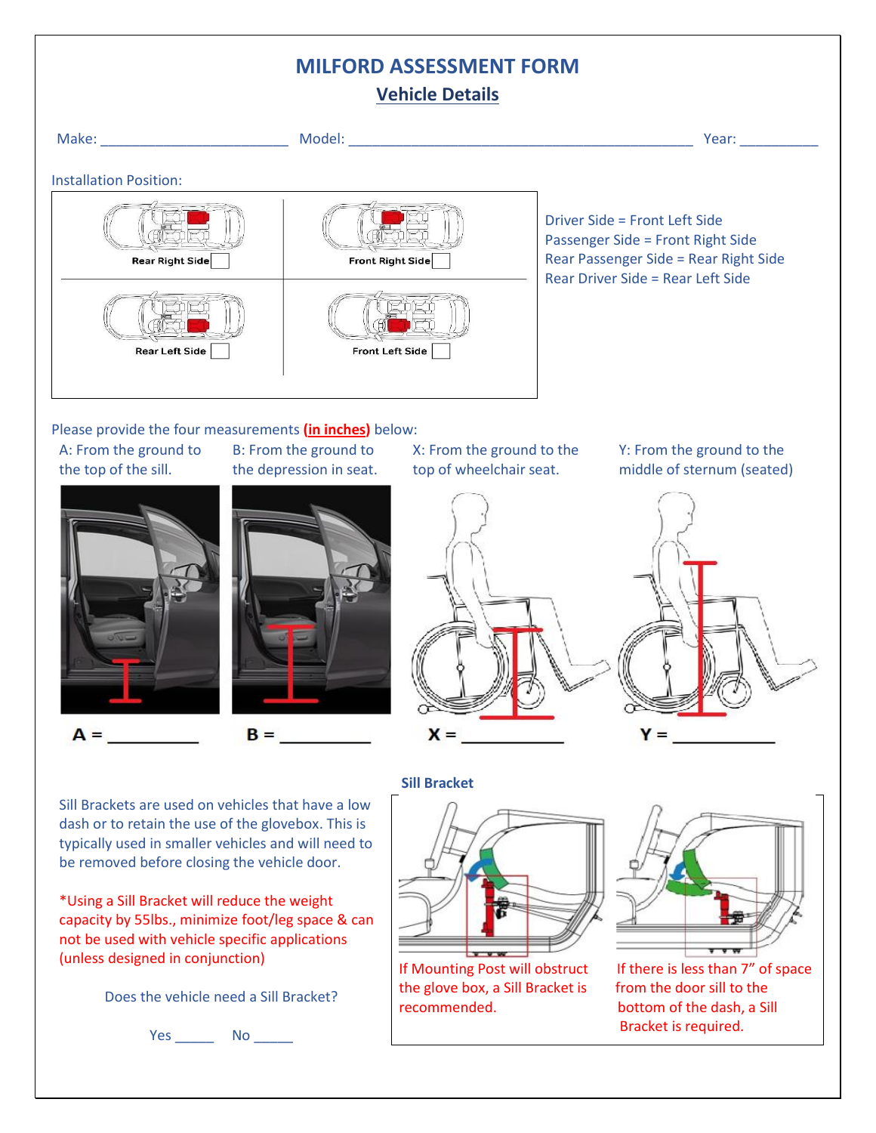# **MILFORD ASSESSMENT FORM**

| <b>Vehicle Details</b>                                                                                                                                                                                                                                                                                                                                                                                    |                                                  |                                  |  |                                                                                                                                                                                                                                |  |  |  |
|-----------------------------------------------------------------------------------------------------------------------------------------------------------------------------------------------------------------------------------------------------------------------------------------------------------------------------------------------------------------------------------------------------------|--------------------------------------------------|----------------------------------|--|--------------------------------------------------------------------------------------------------------------------------------------------------------------------------------------------------------------------------------|--|--|--|
|                                                                                                                                                                                                                                                                                                                                                                                                           |                                                  |                                  |  | Year: The contract of the contract of the contract of the contract of the contract of the contract of the contract of the contract of the contract of the contract of the contract of the contract of the contract of the cont |  |  |  |
| <b>Installation Position:</b>                                                                                                                                                                                                                                                                                                                                                                             |                                                  |                                  |  |                                                                                                                                                                                                                                |  |  |  |
| Rear Right Side                                                                                                                                                                                                                                                                                                                                                                                           | Front Right Side                                 |                                  |  | Driver Side = Front Left Side<br>Passenger Side = Front Right Side<br>Rear Passenger Side = Rear Right Side<br>Rear Driver Side = Rear Left Side                                                                               |  |  |  |
| <b>Rear Left Side</b>                                                                                                                                                                                                                                                                                                                                                                                     | <b>Front Left Side</b>                           |                                  |  |                                                                                                                                                                                                                                |  |  |  |
|                                                                                                                                                                                                                                                                                                                                                                                                           |                                                  |                                  |  |                                                                                                                                                                                                                                |  |  |  |
| Please provide the four measurements (in inches) below:<br>A: From the ground to<br>the top of the sill.                                                                                                                                                                                                                                                                                                  | B: From the ground to<br>the depression in seat. | top of wheelchair seat.          |  | X: From the ground to the Y: From the ground to the<br>middle of sternum (seated)                                                                                                                                              |  |  |  |
| $A =$<br>$B =$                                                                                                                                                                                                                                                                                                                                                                                            |                                                  | $X =$                            |  | Y =                                                                                                                                                                                                                            |  |  |  |
|                                                                                                                                                                                                                                                                                                                                                                                                           |                                                  | <b>Sill Bracket</b>              |  |                                                                                                                                                                                                                                |  |  |  |
| Sill Brackets are used on vehicles that have a low<br>dash or to retain the use of the glovebox. This is<br>typically used in smaller vehicles and will need to<br>be removed before closing the vehicle door.<br>*Using a Sill Bracket will reduce the weight<br>capacity by 55lbs., minimize foot/leg space & can<br>not be used with vehicle specific applications<br>(unless designed in conjunction) |                                                  | If Mounting Post will obstruct   |  | If there is less than 7" of space                                                                                                                                                                                              |  |  |  |
| Does the vehicle need a Sill Bracket?                                                                                                                                                                                                                                                                                                                                                                     |                                                  | the glove box, a Sill Bracket is |  | from the door sill to the                                                                                                                                                                                                      |  |  |  |

Yes \_\_\_\_\_\_\_\_ No \_\_\_\_\_\_

recommended. bottom of the dash, a Sill

Bracket is required.